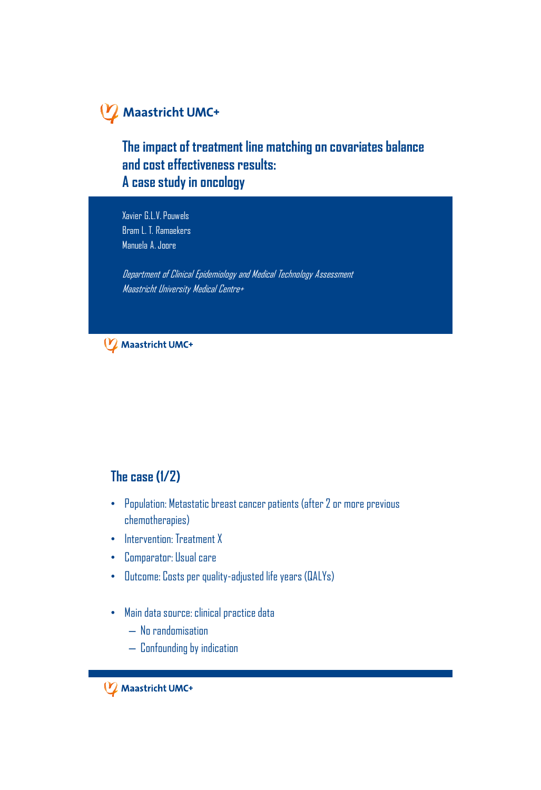### **The impact of treatment line matching on covariates balance and cost effectiveness results: A case study in oncology**

Xavier G.L.V. Pouwels Bram L. T. Ramaekers Manuela A. Joore

Department of Clinical Epidemiology and Medical Technology Assessment Maastricht University Medical Centre+

Maastricht UMC+

#### **The case (1/2)**

- Population: Metastatic breast cancer patients (after 2 or more previous chemotherapies)
- Intervention: Treatment X
- Comparator: Usual care
- Outcome: Costs per quality-adjusted life years (QALYs)
- Main data source: clinical practice data
	- No randomisation
	- Confounding by indication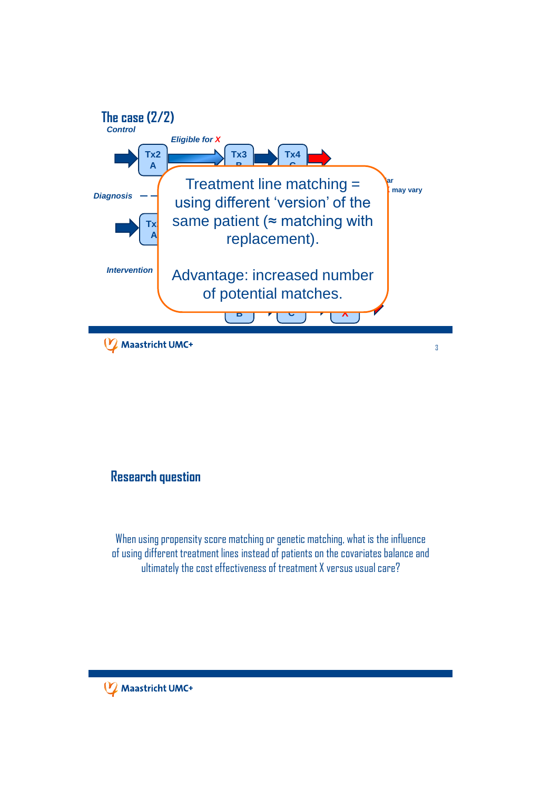

#### **Research question**

When using propensity score matching or genetic matching, what is the influence of using different treatment lines instead of patients on the covariates balance and ultimately the cost effectiveness of treatment X versus usual care?

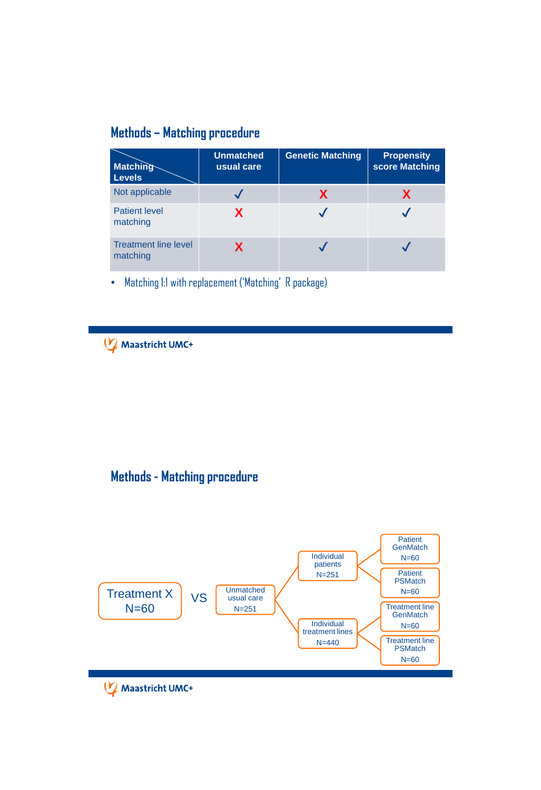## **Methods – Matching procedure**

| <b>Matching</b><br><b>Levels</b>        | <b>Unmatched</b><br>usual care | <b>Genetic Matching</b> | <b>Propensity</b><br>score Matching |
|-----------------------------------------|--------------------------------|-------------------------|-------------------------------------|
| Not applicable                          |                                | X                       | Х                                   |
| <b>Patient level</b><br>matching        | X                              |                         |                                     |
| <b>Treatment line level</b><br>matching | X                              |                         |                                     |

• Matching 1:1 with replacement ('Matching' R package)

Maastricht UMC+

## **Methods - Matching procedure**

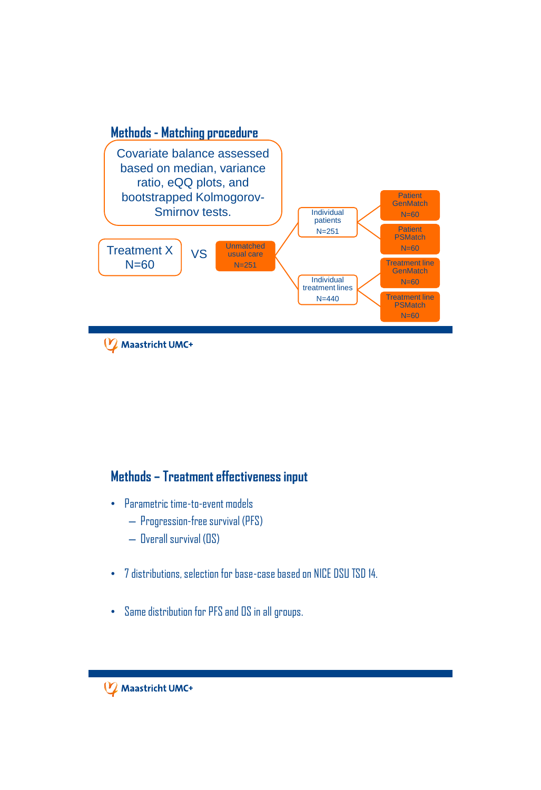

### **Methods – Treatment effectiveness input**

- Parametric time-to-event models
	- Progression-free survival (PFS)
	- Overall survival (OS)
- 7 distributions, selection for base-case based on NICE DSU TSD 14.
- Same distribution for PFS and OS in all groups.

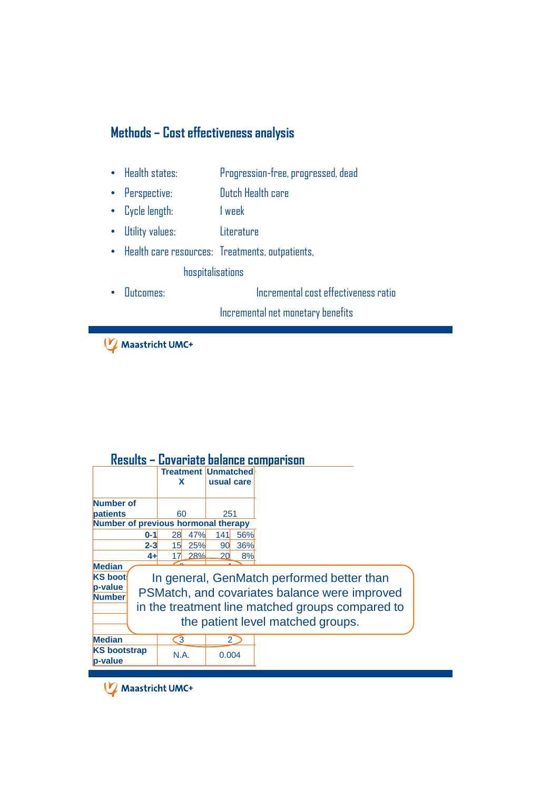## **Methods – Cost effectiveness analysis**

- Health states: Progression-free, progressed, dead
- Perspective: Dutch Health care
- Cycle length: 1 week
- Utility values: Literature
- Health care resources: Treatments, outpatients, hospitalisations
- Outcomes: Incremental cost effectiveness ratio

Incremental net monetary benefits

Maastricht UMC+

|  |  |  | Results - Covariate balance comparison |
|--|--|--|----------------------------------------|
|--|--|--|----------------------------------------|

| <u> NESUILS – GOVAITALE DAIAILLE GOINDAITSON</u>                                                       |             |                            |             |  |  |  |  |  |
|--------------------------------------------------------------------------------------------------------|-------------|----------------------------|-------------|--|--|--|--|--|
|                                                                                                        |             | <b>Treatment Unmatched</b> |             |  |  |  |  |  |
|                                                                                                        | x           |                            | usual care  |  |  |  |  |  |
|                                                                                                        |             |                            |             |  |  |  |  |  |
| Number of                                                                                              |             |                            |             |  |  |  |  |  |
| patients                                                                                               | 60          |                            | 251         |  |  |  |  |  |
| Number of previous hormonal therapy                                                                    |             |                            |             |  |  |  |  |  |
| $0 - 1$                                                                                                | 28          | 47%<br>141                 | 56%         |  |  |  |  |  |
| $2 - 3$                                                                                                | 15          | 25%<br>90                  | 36%         |  |  |  |  |  |
|                                                                                                        | 4+l<br>17   | 28%<br>20                  | 8%          |  |  |  |  |  |
| <b>Median</b>                                                                                          |             |                            |             |  |  |  |  |  |
| <b>KS</b> boot                                                                                         |             |                            |             |  |  |  |  |  |
| In general, GenMatch performed better than<br>p-value<br>PSMatch, and covariates balance were improved |             |                            |             |  |  |  |  |  |
| <b>Number</b>                                                                                          |             |                            |             |  |  |  |  |  |
| in the treatment line matched groups compared to                                                       |             |                            |             |  |  |  |  |  |
| the patient level matched groups.                                                                      |             |                            |             |  |  |  |  |  |
|                                                                                                        |             |                            |             |  |  |  |  |  |
| <b>Median</b>                                                                                          | 3           |                            | $2^{\circ}$ |  |  |  |  |  |
| <b>KS</b> bootstrap                                                                                    |             |                            |             |  |  |  |  |  |
| p-value                                                                                                | <b>N.A.</b> |                            | 0.004       |  |  |  |  |  |
|                                                                                                        |             |                            |             |  |  |  |  |  |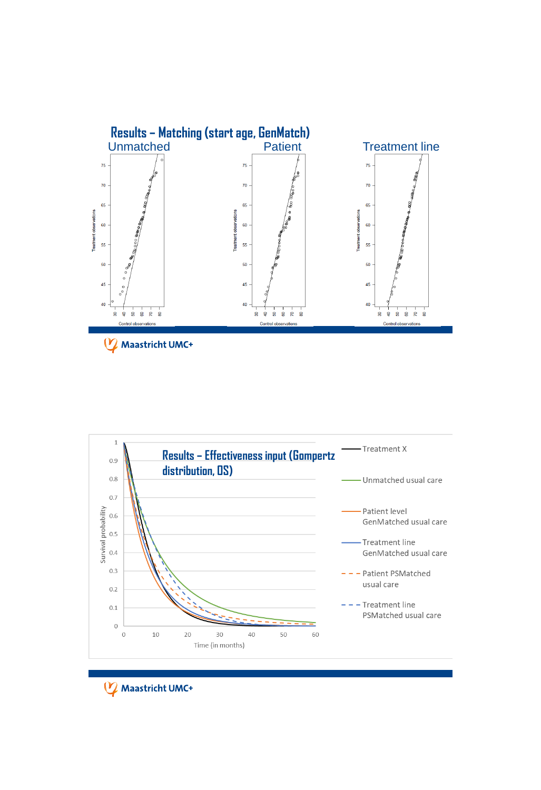

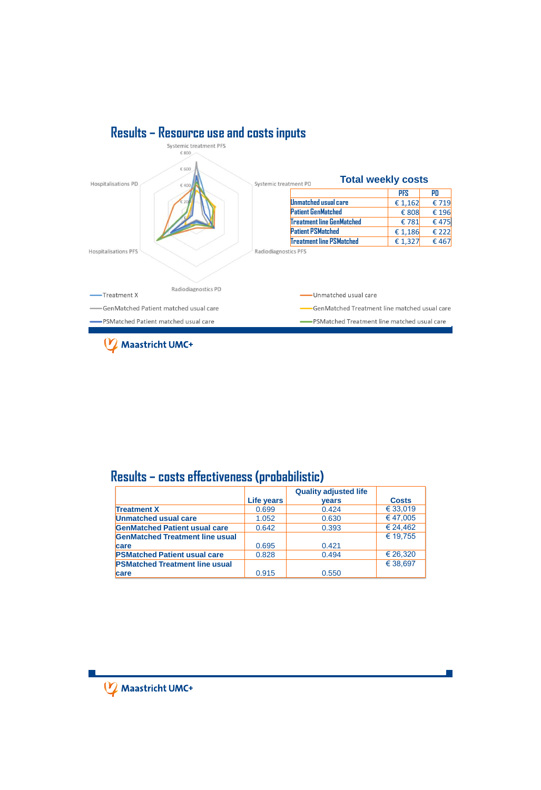

#### **Results – costs effectiveness (probabilistic)**

|                                        |            | <b>Quality adjusted life</b> |              |
|----------------------------------------|------------|------------------------------|--------------|
|                                        | Life years | <b>vears</b>                 | <b>Costs</b> |
| <b>Treatment X</b>                     | 0.699      | 0.424                        | € 33,019     |
| Unmatched usual care                   | 1.052      | 0.630                        | €47.005      |
| <b>GenMatched Patient usual care</b>   | 0.642      | 0.393                        | € 24.462     |
| <b>GenMatched Treatment line usual</b> |            |                              | € 19.755     |
| care                                   | 0.695      | 0.421                        |              |
| <b>PSMatched Patient usual care</b>    | 0.828      | 0.494                        | € 26.320     |
| <b>PSMatched Treatment line usual</b>  |            |                              | € 38.697     |
| care                                   | 0.915      | 0.550                        |              |

P.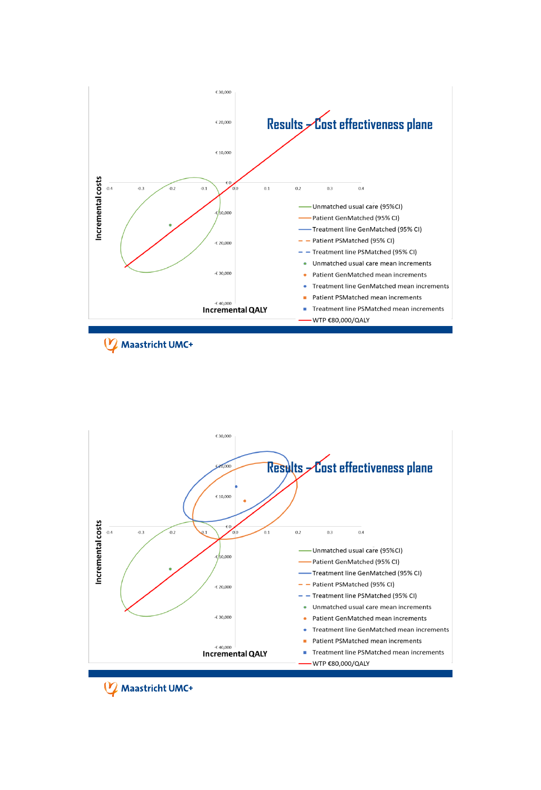

Maastricht UMC+

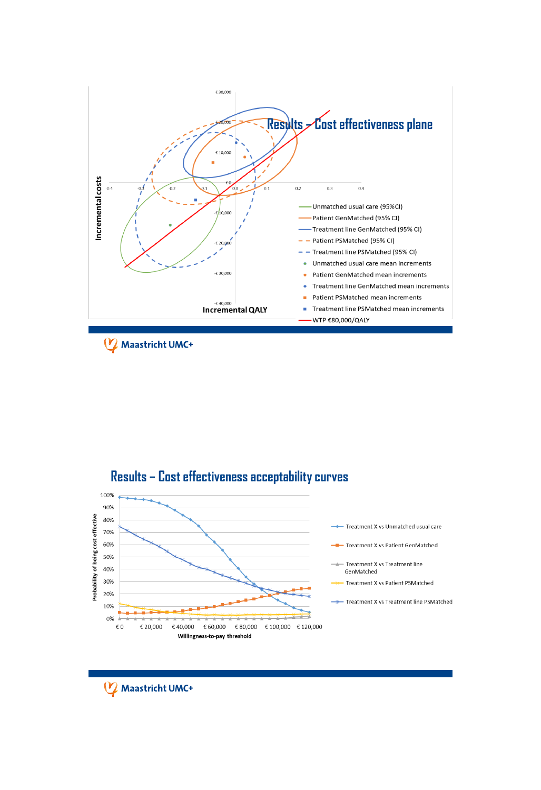

Maastricht UMC+

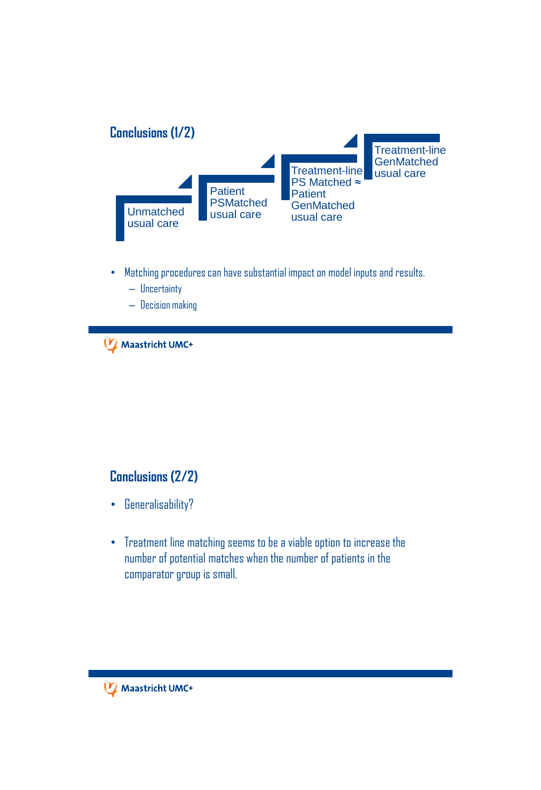

- Matching procedures can have substantial impact on model inputs and results.
	- Uncertainty
	- Decision making

#### **Conclusions (2/2)**

- Generalisability?
- Treatment line matching seems to be a viable option to increase the number of potential matches when the number of patients in the comparator group is small.

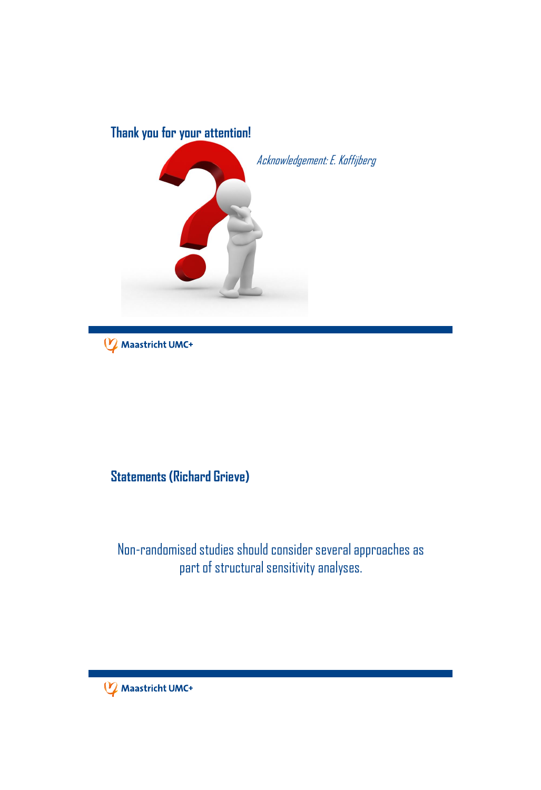

## **Statements (Richard Grieve)**

## Non-randomised studies should consider several approaches as part of structural sensitivity analyses.

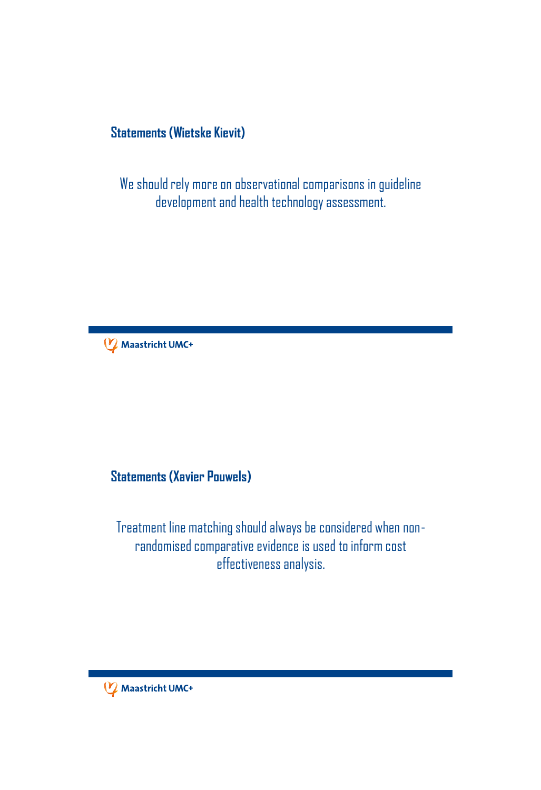### **Statements (Wietske Kievit)**

We should rely more on observational comparisons in guideline development and health technology assessment.



## **Statements (Xavier Pouwels)**

Treatment line matching should always be considered when nonrandomised comparative evidence is used to inform cost effectiveness analysis.

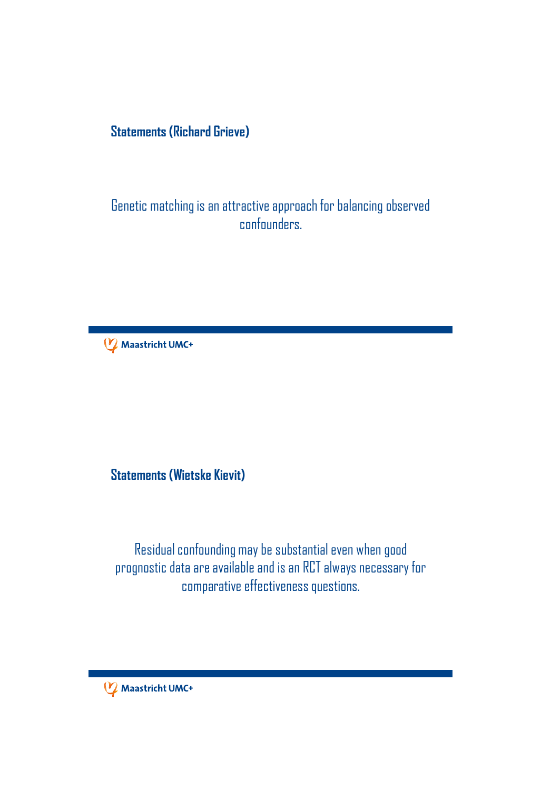### **Statements (Richard Grieve)**

Genetic matching is an attractive approach for balancing observed confounders.



**Statements (Wietske Kievit)**

Residual confounding may be substantial even when good prognostic data are available and is an RCT always necessary for comparative effectiveness questions.